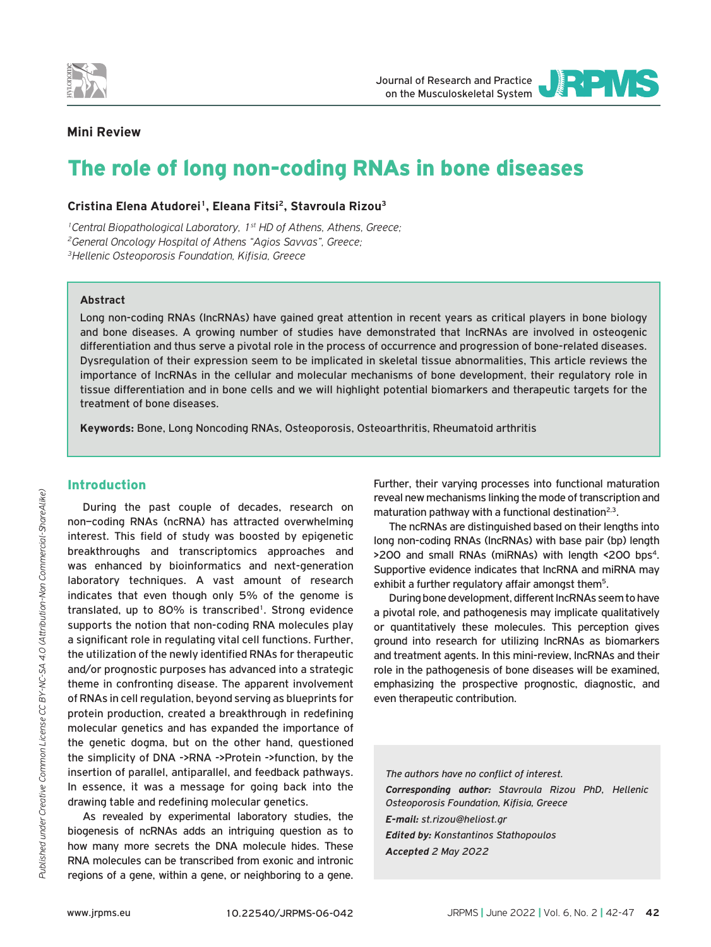

Journal of Research and Practice on the Musculoskeletal System



# **Mini Review**

# The role of long non-coding RNAs in bone diseases

## **Cristina Elena Atudorei1, Eleana Fitsi2, Stavroula Rizou3**

*1Central Biopathological Laboratory, 1st HD of Athens, Athens, Greece; 2General Oncology Hospital of Athens "Agios Savvas", Greece; 3Hellenic Osteoporosis Foundation, Kifisia, Greece*

#### **Abstract**

Long non-coding RNAs (lncRNAs) have gained great attention in recent years as critical players in bone biology and bone diseases. A growing number of studies have demonstrated that lncRNAs are involved in osteogenic differentiation and thus serve a pivotal role in the process of occurrence and progression of bone-related diseases. Dysregulation of their expression seem to be implicated in skeletal tissue abnormalities, This article reviews the importance of lncRNAs in the cellular and molecular mechanisms of bone development, their regulatory role in tissue differentiation and in bone cells and we will highlight potential biomarkers and therapeutic targets for the treatment of bone diseases.

**Keywords:** Bone, Long Noncoding RNAs, Osteoporosis, Osteoarthritis, Rheumatoid arthritis

## Introduction

During the past couple of decades, research on non–coding RNAs (ncRNA) has attracted overwhelming interest. This field of study was boosted by epigenetic breakthroughs and transcriptomics approaches and was enhanced by bioinformatics and next-generation laboratory techniques. A vast amount of research indicates that even though only 5% of the genome is translated, up to 80% is transcribed<sup>1</sup>. Strong evidence supports the notion that non-coding RNA molecules play a significant role in regulating vital cell functions. Further, the utilization of the newly identified RNAs for therapeutic and/or prognostic purposes has advanced into a strategic theme in confronting disease. The apparent involvement of RNAs in cell regulation, beyond serving as blueprints for protein production, created a breakthrough in redefining molecular genetics and has expanded the importance of the genetic dogma, but on the other hand, questioned the simplicity of DNA ->RNA ->Protein ->function, by the insertion of parallel, antiparallel, and feedback pathways. In essence, it was a message for going back into the drawing table and redefining molecular genetics.

As revealed by experimental laboratory studies, the biogenesis of ncRNAs adds an intriguing question as to how many more secrets the DNA molecule hides. These RNA molecules can be transcribed from exonic and intronic regions of a gene, within a gene, or neighboring to a gene. Further, their varying processes into functional maturation reveal new mechanisms linking the mode of transcription and maturation pathway with a functional destination<sup>2,3</sup>.

The ncRNAs are distinguished based on their lengths into long non-coding RNAs (lncRNAs) with base pair (bp) length >200 and small RNAs (miRNAs) with length <200 bps4. Supportive evidence indicates that lncRNA and miRNA may exhibit a further regulatory affair amongst them<sup>5</sup>.

During bone development, different lncRNAs seem to have a pivotal role, and pathogenesis may implicate qualitatively or quantitatively these molecules. This perception gives ground into research for utilizing lncRNAs as biomarkers and treatment agents. In this mini-review, lncRNAs and their role in the pathogenesis of bone diseases will be examined, emphasizing the prospective prognostic, diagnostic, and even therapeutic contribution.

*The authors have no conflict of interest. Corresponding author: Stavroula Rizou PhD, Hellenic Osteoporosis Foundation, Kifisia, Greece E-mail: st.rizou@heliost.gr Edited by: Konstantinos Stathopoulos Accepted 2 May 2022*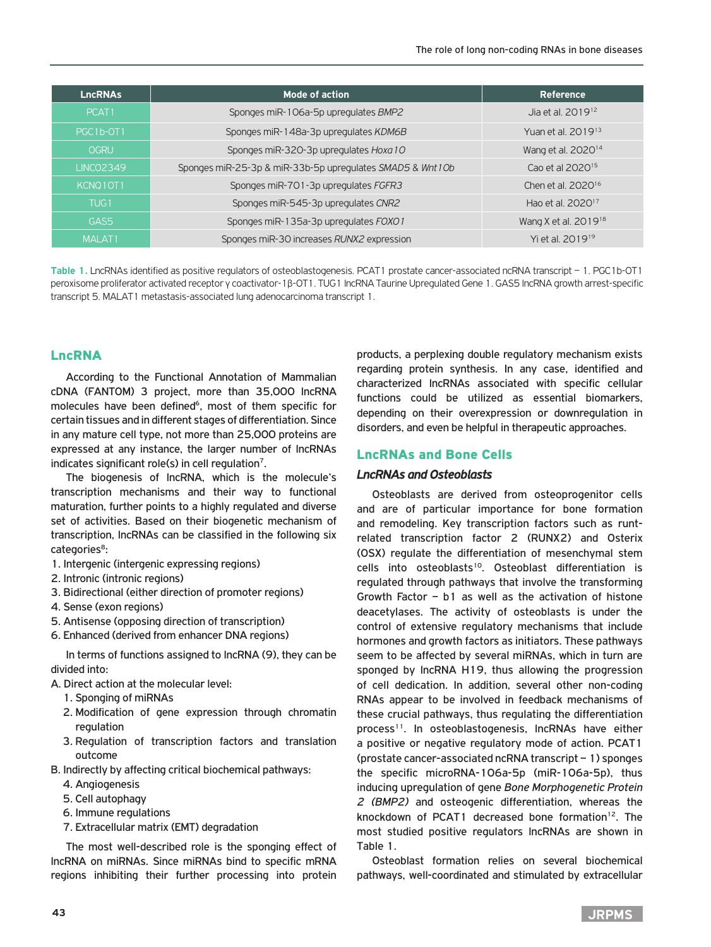| <b>LncRNAs</b>    | <b>Mode of action</b>                                     | Reference                        |
|-------------------|-----------------------------------------------------------|----------------------------------|
| PCAT <sub>1</sub> | Sponges miR-106a-5p upregulates BMP2                      | Jia et al. 2019 <sup>12</sup>    |
| PGC1b-OT1         | Sponges miR-148a-3p upregulates KDM6B                     | Yuan et al. 2019 <sup>13</sup>   |
| <b>OGRU</b>       | Sponges miR-320-3p upregulates Hoxa 10                    | Wang et al. 2020 <sup>14</sup>   |
| <b>LINCO2349</b>  | Sponges miR-25-3p & miR-33b-5p upregulates SMAD5 & Wnt10b | Cao et al 2020 <sup>15</sup>     |
| KCNQ10T1          | Sponges miR-701-3p upregulates FGFR3                      | Chen et al. 2020 <sup>16</sup>   |
| TUG <sub>1</sub>  | Sponges miR-545-3p upregulates CNR2                       | Hao et al. 2020 <sup>17</sup>    |
| GAS5              | Sponges miR-135a-3p upregulates FOXO1                     | Wang X et al. 2019 <sup>18</sup> |
| <b>MALAT1</b>     | Sponges miR-30 increases RUNX2 expression                 | Yi et al. 2019 <sup>19</sup>     |

**Table 1.** LncRNAs identified as positive regulators of osteoblastogenesis. PCAT1 prostate cancer-associated ncRNA transcript – 1. PGC1b-OT1 peroxisome proliferator activated receptor γ coactivator-1β-OT1. TUG1 lncRNA Taurine Upregulated Gene 1. GAS5 lncRNA growth arrest-specific transcript 5. MALAT1 metastasis-associated lung adenocarcinoma transcript 1.

# LncRNA

According to the Functional Annotation of Mammalian cDNA (FANTOM) 3 project, more than 35,000 lncRNA molecules have been defined<sup>6</sup>, most of them specific for certain tissues and in different stages of differentiation. Since in any mature cell type, not more than 25,000 proteins are expressed at any instance, the larger number of lncRNAs indicates significant role(s) in cell regulation<sup>7</sup>.

The biogenesis of lncRNA, which is the molecule's transcription mechanisms and their way to functional maturation, further points to a highly regulated and diverse set of activities. Based on their biogenetic mechanism of transcription, lncRNAs can be classified in the following six categories<sup>8</sup>:

- 1. Intergenic (intergenic expressing regions)
- 2. Intronic (intronic regions)
- 3. Bidirectional (either direction of promoter regions)
- 4. Sense (exon regions)
- 5. Antisense (opposing direction of transcription)
- 6. Enhanced (derived from enhancer DNA regions)

In terms of functions assigned to lncRNA (9), they can be divided into:

- A. Direct action at the molecular level:
	- 1. Sponging of miRNAs
	- 2. Modification of gene expression through chromatin regulation
	- 3. Regulation of transcription factors and translation outcome
- B. Indirectly by affecting critical biochemical pathways:
	- 4. Angiogenesis
	- 5. Cell autophagy
	- 6. Immune regulations
	- 7. Extracellular matrix (EMT) degradation

The most well-described role is the sponging effect of lncRNA on miRNAs. Since miRNAs bind to specific mRNA regions inhibiting their further processing into protein products, a perplexing double regulatory mechanism exists regarding protein synthesis. In any case, identified and characterized lncRNAs associated with specific cellular functions could be utilized as essential biomarkers, depending on their overexpression or downregulation in disorders, and even be helpful in therapeutic approaches.

# LncRNAs and Bone Cells

## *LncRNAs and Osteoblasts*

Osteoblasts are derived from osteoprogenitor cells and are of particular importance for bone formation and remodeling. Key transcription factors such as runtrelated transcription factor 2 (RUNX2) and Osterix (OSX) regulate the differentiation of mesenchymal stem cells into osteoblasts<sup>10</sup>. Osteoblast differentiation is regulated through pathways that involve the transforming Growth Factor – b1 as well as the activation of histone deacetylases. The activity of osteoblasts is under the control of extensive regulatory mechanisms that include hormones and growth factors as initiators. These pathways seem to be affected by several miRNAs, which in turn are sponged by lncRNA H19, thus allowing the progression of cell dedication. In addition, several other non-coding RNAs appear to be involved in feedback mechanisms of these crucial pathways, thus regulating the differentiation process<sup>11</sup>. In osteoblastogenesis, IncRNAs have either a positive or negative regulatory mode of action. PCAT1 (prostate cancer-associated ncRNA transcript – 1) sponges the specific microRNA-106a-5p (miR-106a-5p), thus inducing upregulation of gene *Bone Morphogenetic Protein 2 (BMP2)* and osteogenic differentiation, whereas the knockdown of PCAT1 decreased bone formation<sup>12</sup>. The most studied positive regulators lncRNAs are shown in Table 1.

Osteoblast formation relies on several biochemical pathways, well-coordinated and stimulated by extracellular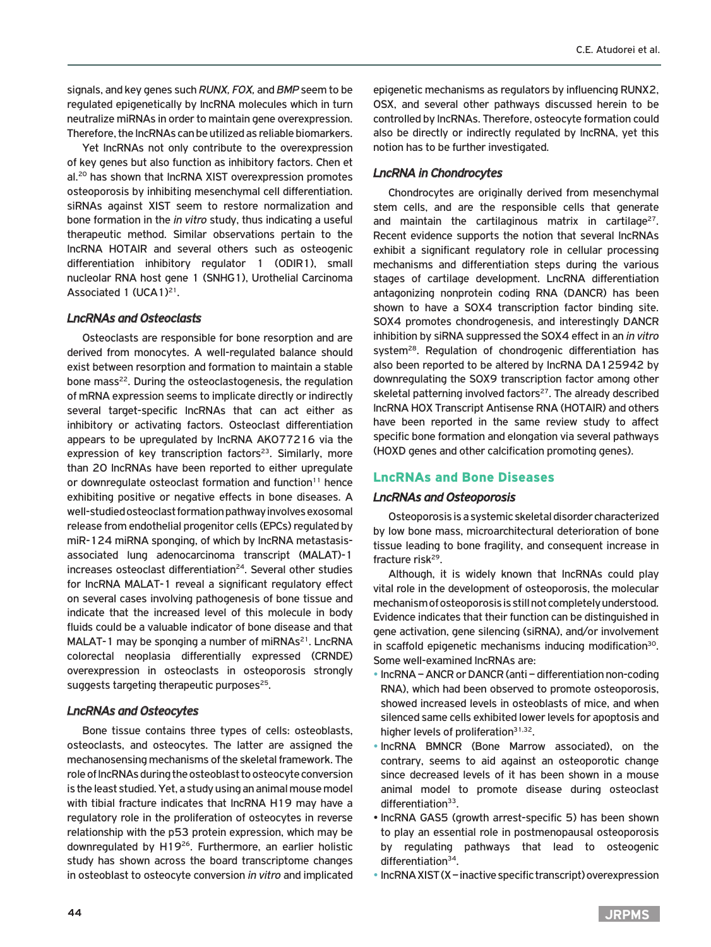signals, and key genes such *RUNX, FOX,* and *BMP* seem to be regulated epigenetically by lncRNA molecules which in turn neutralize miRNAs in order to maintain gene overexpression. Therefore, the lncRNAs can be utilized as reliable biomarkers.

Yet lncRNAs not only contribute to the overexpression of key genes but also function as inhibitory factors. Chen et al.20 has shown that lncRNA XIST overexpression promotes osteoporosis by inhibiting mesenchymal cell differentiation. siRNAs against XIST seem to restore normalization and bone formation in the *in vitro* study, thus indicating a useful therapeutic method. Similar observations pertain to the lncRNA HOTAIR and several others such as osteogenic differentiation inhibitory regulator 1 (ODIR1), small nucleolar RNA host gene 1 (SNHG1), Urothelial Carcinoma Associated 1 (UCA1)21.

#### *LncRNAs and Osteoclasts*

Osteoclasts are responsible for bone resorption and are derived from monocytes. A well-regulated balance should exist between resorption and formation to maintain a stable bone mass<sup>22</sup>. During the osteoclastogenesis, the regulation of mRNA expression seems to implicate directly or indirectly several target-specific lncRNAs that can act either as inhibitory or activating factors. Osteoclast differentiation appears to be upregulated by lncRNA AK077216 via the expression of key transcription factors<sup>23</sup>. Similarly, more than 20 lncRNAs have been reported to either upregulate or downregulate osteoclast formation and function $11$  hence exhibiting positive or negative effects in bone diseases. A well-studied osteoclast formation pathway involves exosomal release from endothelial progenitor cells (EPCs) regulated by miR-124 miRNA sponging, of which by lncRNA metastasisassociated lung adenocarcinoma transcript (MALAT)-1 increases osteoclast differentiation<sup>24</sup>. Several other studies for lncRNA MALAT-1 reveal a significant regulatory effect on several cases involving pathogenesis of bone tissue and indicate that the increased level of this molecule in body fluids could be a valuable indicator of bone disease and that MALAT-1 may be sponging a number of miRNAs $21$ . LncRNA colorectal neoplasia differentially expressed (CRNDE) overexpression in osteoclasts in osteoporosis strongly suggests targeting therapeutic purposes<sup>25</sup>.

## *LncRNAs and Osteocytes*

Bone tissue contains three types of cells: osteoblasts, osteoclasts, and osteocytes. The latter are assigned the mechanosensing mechanisms of the skeletal framework. The role of lncRNAs during the osteoblast to osteocyte conversion is the least studied. Yet, a study using an animal mouse model with tibial fracture indicates that lncRNA H19 may have a regulatory role in the proliferation of osteocytes in reverse relationship with the p53 protein expression, which may be downregulated by H19<sup>26</sup>. Furthermore, an earlier holistic study has shown across the board transcriptome changes in osteoblast to osteocyte conversion *in vitro* and implicated

epigenetic mechanisms as regulators by influencing RUNX2, OSX, and several other pathways discussed herein to be controlled by lncRNAs. Therefore, osteocyte formation could also be directly or indirectly regulated by lncRNA, yet this notion has to be further investigated.

## *LncRNA in Chondrocytes*

Chondrocytes are originally derived from mesenchymal stem cells, and are the responsible cells that generate and maintain the cartilaginous matrix in cartilage<sup>27</sup>. Recent evidence supports the notion that several lncRNAs exhibit a significant regulatory role in cellular processing mechanisms and differentiation steps during the various stages of cartilage development. LncRNA differentiation antagonizing nonprotein coding RNA (DANCR) has been shown to have a SOX4 transcription factor binding site. SOX4 promotes chondrogenesis, and interestingly DANCR inhibition by siRNA suppressed the SOX4 effect in an *in vitro* system<sup>28</sup>. Regulation of chondrogenic differentiation has also been reported to be altered by lncRNA DA125942 by downregulating the SOX9 transcription factor among other skeletal patterning involved factors $27$ . The already described lncRNA HOX Transcript Antisense RNA (HOTAIR) and others have been reported in the same review study to affect specific bone formation and elongation via several pathways (HOXD genes and other calcification promoting genes).

# LncRNAs and Bone Diseases

#### *LncRNAs and Osteoporosis*

Osteoporosis is a systemic skeletal disorder characterized by low bone mass, microarchitectural deterioration of bone tissue leading to bone fragility, and consequent increase in fracture risk<sup>29</sup>.

Although, it is widely known that lncRNAs could play vital role in the development of osteoporosis, the molecular mechanism of osteoporosis is still not completely understood. Evidence indicates that their function can be distinguished in gene activation, gene silencing (siRNA), and/or involvement in scaffold epigenetic mechanisms inducing modification<sup>30</sup>. Some well-examined lncRNAs are:

- lncRNA ANCR or DANCR (anti differentiation non-coding RNA), which had been observed to promote osteoporosis, showed increased levels in osteoblasts of mice, and when silenced same cells exhibited lower levels for apoptosis and higher levels of proliferation<sup>31,32</sup>.
- lncRNA BMNCR (Bone Marrow associated), on the contrary, seems to aid against an osteoporotic change since decreased levels of it has been shown in a mouse animal model to promote disease during osteoclast differentiation<sup>33</sup>.
- lncRNA GAS5 (growth arrest-specific 5) has been shown to play an essential role in postmenopausal osteoporosis by regulating pathways that lead to osteogenic differentiation<sup>34</sup>.
- lncRNA XIST (X inactive specific transcript) overexpression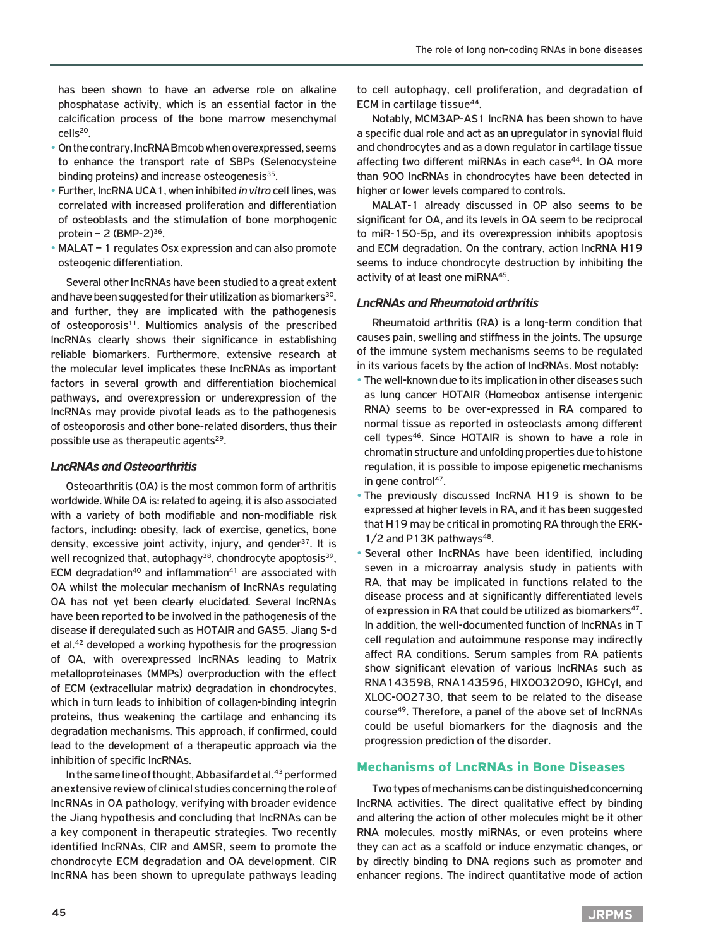has been shown to have an adverse role on alkaline phosphatase activity, which is an essential factor in the calcification process of the bone marrow mesenchymal cells20.

- On the contrary, lncRNA Bmcob when overexpressed, seems to enhance the transport rate of SBPs (Selenocysteine binding proteins) and increase osteogenesis<sup>35</sup>.
- Further, lncRNA UCA1, when inhibited *in vitro* cell lines, was correlated with increased proliferation and differentiation of osteoblasts and the stimulation of bone morphogenic protein  $- 2$  (BMP-2) $36$ .
- MALAT 1 regulates Osx expression and can also promote osteogenic differentiation.

Several other lncRNAs have been studied to a great extent and have been suggested for their utilization as biomarkers<sup>30</sup>, and further, they are implicated with the pathogenesis of osteoporosis<sup>11</sup>. Multiomics analysis of the prescribed lncRNAs clearly shows their significance in establishing reliable biomarkers. Furthermore, extensive research at the molecular level implicates these lncRNAs as important factors in several growth and differentiation biochemical pathways, and overexpression or underexpression of the lncRNAs may provide pivotal leads as to the pathogenesis of osteoporosis and other bone-related disorders, thus their possible use as therapeutic agents<sup>29</sup>.

## *LncRNAs and Osteoarthritis*

Osteoarthritis (OA) is the most common form of arthritis worldwide. While OA is: related to ageing, it is also associated with a variety of both modifiable and non-modifiable risk factors, including: obesity, lack of exercise, genetics, bone density, excessive joint activity, injury, and gender $37$ . It is well recognized that, autophagy<sup>38</sup>, chondrocyte apoptosis<sup>39</sup>, ECM degradation<sup>40</sup> and inflammation<sup>41</sup> are associated with OA whilst the molecular mechanism of lncRNAs regulating OA has not yet been clearly elucidated. Several lncRNAs have been reported to be involved in the pathogenesis of the disease if deregulated such as HOTAIR and GAS5. Jiang S-d et al.42 developed a working hypothesis for the progression of OA, with overexpressed lncRNAs leading to Matrix metalloproteinases (MMPs) overproduction with the effect of ECM (extracellular matrix) degradation in chondrocytes, which in turn leads to inhibition of collagen-binding integrin proteins, thus weakening the cartilage and enhancing its degradation mechanisms. This approach, if confirmed, could lead to the development of a therapeutic approach via the inhibition of specific lncRNAs.

In the same line of thought, Abbasifard et al.<sup>43</sup> performed an extensive review of clinical studies concerning the role of lncRNAs in OA pathology, verifying with broader evidence the Jiang hypothesis and concluding that lncRNAs can be a key component in therapeutic strategies. Two recently identified lncRNAs, CIR and AMSR, seem to promote the chondrocyte ECM degradation and OA development. CIR lncRNA has been shown to upregulate pathways leading

to cell autophagy, cell proliferation, and degradation of ECM in cartilage tissue<sup>44</sup>.

Notably, MCM3AP-AS1 lncRNA has been shown to have a specific dual role and act as an upregulator in synovial fluid and chondrocytes and as a down regulator in cartilage tissue affecting two different miRNAs in each case<sup>44</sup>. In OA more than 900 lncRNAs in chondrocytes have been detected in higher or lower levels compared to controls.

MALAT-1 already discussed in OP also seems to be significant for OA, and its levels in OA seem to be reciprocal to miR-150-5p, and its overexpression inhibits apoptosis and ECM degradation. On the contrary, action lncRNA H19 seems to induce chondrocyte destruction by inhibiting the activity of at least one miRNA45.

## *LncRNAs and Rheumatoid arthritis*

Rheumatoid arthritis (RA) is a long-term condition that causes pain, swelling and stiffness in the joints. The upsurge of the immune system mechanisms seems to be regulated in its various facets by the action of lncRNAs. Most notably:

- The well-known due to its implication in other diseases such as lung cancer HOTAIR (Homeobox antisense intergenic RNA) seems to be over-expressed in RA compared to normal tissue as reported in osteoclasts among different cell types<sup>46</sup>. Since HOTAIR is shown to have a role in chromatin structure and unfolding properties due to histone regulation, it is possible to impose epigenetic mechanisms in gene control<sup>47</sup>.
- The previously discussed lncRNA H19 is shown to be expressed at higher levels in RA, and it has been suggested that H19 may be critical in promoting RA through the ERK- $1/2$  and P13K pathways<sup>48</sup>.
- Several other lncRNAs have been identified, including seven in a microarray analysis study in patients with RA, that may be implicated in functions related to the disease process and at significantly differentiated levels of expression in RA that could be utilized as biomarkers<sup>47</sup>. In addition, the well-documented function of lncRNAs in T cell regulation and autoimmune response may indirectly affect RA conditions. Serum samples from RA patients show significant elevation of various lncRNAs such as RNA143598, RNA143596, HIX0032090, IGHCγl, and XLOC-002730, that seem to be related to the disease course49. Therefore, a panel of the above set of lncRNAs could be useful biomarkers for the diagnosis and the progression prediction of the disorder.

## Mechanisms of LncRNAs in Bone Diseases

Two types of mechanisms can be distinguished concerning lncRNA activities. The direct qualitative effect by binding and altering the action of other molecules might be it other RNA molecules, mostly miRNAs, or even proteins where they can act as a scaffold or induce enzymatic changes, or by directly binding to DNA regions such as promoter and enhancer regions. The indirect quantitative mode of action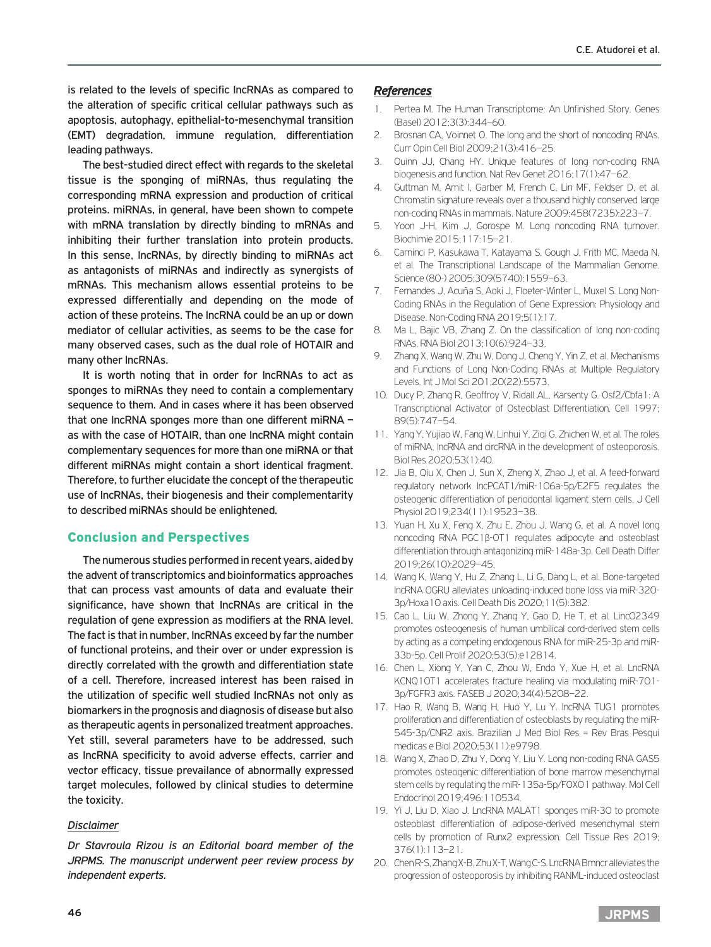is related to the levels of specific lncRNAs as compared to the alteration of specific critical cellular pathways such as apoptosis, autophagy, epithelial-to-mesenchymal transition (EMT) degradation, immune regulation, differentiation leading pathways.

The best-studied direct effect with regards to the skeletal tissue is the sponging of miRNAs, thus regulating the corresponding mRNA expression and production of critical proteins. miRNAs, in general, have been shown to compete with mRNA translation by directly binding to mRNAs and inhibiting their further translation into protein products. In this sense, lncRNAs, by directly binding to miRNAs act as antagonists of miRNAs and indirectly as synergists of mRNAs. This mechanism allows essential proteins to be expressed differentially and depending on the mode of action of these proteins. The lncRNA could be an up or down mediator of cellular activities, as seems to be the case for many observed cases, such as the dual role of HOTAIR and many other lncRNAs.

It is worth noting that in order for lncRNAs to act as sponges to miRNAs they need to contain a complementary sequence to them. And in cases where it has been observed that one lncRNA sponges more than one different miRNA – as with the case of HOTAIR, than one lncRNA might contain complementary sequences for more than one miRNA or that different miRNAs might contain a short identical fragment. Therefore, to further elucidate the concept of the therapeutic use of lncRNAs, their biogenesis and their complementarity to described miRNAs should be enlightened.

# Conclusion and Perspectives

The numerous studies performed in recent years, aided by the advent of transcriptomics and bioinformatics approaches that can process vast amounts of data and evaluate their significance, have shown that lncRNAs are critical in the regulation of gene expression as modifiers at the RNA level. The fact is that in number, lncRNAs exceed by far the number of functional proteins, and their over or under expression is directly correlated with the growth and differentiation state of a cell. Therefore, increased interest has been raised in the utilization of specific well studied lncRNAs not only as biomarkers in the prognosis and diagnosis of disease but also as therapeutic agents in personalized treatment approaches. Yet still, several parameters have to be addressed, such as lncRNA specificity to avoid adverse effects, carrier and vector efficacy, tissue prevailance of abnormally expressed target molecules, followed by clinical studies to determine the toxicity.

## *Disclaimer*

*Dr Stavroula Rizou is an Editorial board member of the JRPMS. The manuscript underwent peer review process by independent experts.*

#### *References*

- 1. Pertea M. The Human Transcriptome: An Unfinished Story. Genes (Basel) 2012;3(3):344–60.
- 2. Brosnan CA, Voinnet O. The long and the short of noncoding RNAs. Curr Opin Cell Biol 2009;21(3):416–25.
- 3. Quinn JJ, Chang HY. Unique features of long non-coding RNA biogenesis and function. Nat Rev Genet 2016;17(1):47–62.
- 4. Guttman M, Amit I, Garber M, French C, Lin MF, Feldser D, et al. Chromatin signature reveals over a thousand highly conserved large non-coding RNAs in mammals. Nature 2009;458(7235):223–7.
- 5. Yoon J-H, Kim J, Gorospe M. Long noncoding RNA turnover. Biochimie 2015;117:15–21.
- 6. Carninci P, Kasukawa T, Katayama S, Gough J, Frith MC, Maeda N, et al. The Transcriptional Landscape of the Mammalian Genome. Science (80-) 2005;309(5740):1559–63.
- 7. Fernandes J, Acuña S, Aoki J, Floeter-Winter L, Muxel S. Long Non-Coding RNAs in the Regulation of Gene Expression: Physiology and Disease. Non-Coding RNA 2019;5(1):17.
- 8. Ma L, Bajic VB, Zhang Z. On the classification of long non-coding RNAs. RNA Biol 2013;10(6):924–33.
- 9. Zhang X, Wang W, Zhu W, Dong J, Cheng Y, Yin Z, et al. Mechanisms and Functions of Long Non-Coding RNAs at Multiple Regulatory Levels. Int J Mol Sci 201;20(22):5573.
- 10. Ducy P, Zhang R, Geoffroy V, Ridall AL, Karsenty G. Osf2/Cbfa1: A Transcriptional Activator of Osteoblast Differentiation. Cell 1997; 89(5):747–54.
- 11. Yang Y, Yujiao W, Fang W, Linhui Y, Ziqi G, Zhichen W, et al. The roles of miRNA, lncRNA and circRNA in the development of osteoporosis. Biol Res 2020;53(1):40.
- 12. Jia B, Qiu X, Chen J, Sun X, Zheng X, Zhao J, et al. A feed-forward regulatory network lncPCAT1/miR-106a-5p/E2F5 regulates the osteogenic differentiation of periodontal ligament stem cells. J Cell Physiol 2019;234(11):19523–38.
- 13. Yuan H, Xu X, Feng X, Zhu E, Zhou J, Wang G, et al. A novel long noncoding RNA PGC1β-OT1 regulates adipocyte and osteoblast differentiation through antagonizing miR-148a-3p. Cell Death Differ 2019;26(10):2029–45.
- 14. Wang K, Wang Y, Hu Z, Zhang L, Li G, Dang L, et al. Bone-targeted lncRNA OGRU alleviates unloading-induced bone loss via miR-320- 3p/Hoxa10 axis. Cell Death Dis 2020;11(5):382.
- 15. Cao L, Liu W, Zhong Y, Zhang Y, Gao D, He T, et al. Linc02349 promotes osteogenesis of human umbilical cord-derived stem cells by acting as a competing endogenous RNA for miR-25-3p and miR-33b-5p. Cell Prolif 2020;53(5):e12814.
- 16. Chen L, Xiong Y, Yan C, Zhou W, Endo Y, Xue H, et al. LncRNA KCNQ1OT1 accelerates fracture healing via modulating miR-701- 3p/FGFR3 axis. FASEB J 2020;34(4):5208–22.
- 17. Hao R, Wang B, Wang H, Huo Y, Lu Y. lncRNA TUG1 promotes proliferation and differentiation of osteoblasts by regulating the miR-545-3p/CNR2 axis. Brazilian J Med Biol Res = Rev Bras Pesqui medicas e Biol 2020;53(11):e9798.
- 18. Wang X, Zhao D, Zhu Y, Dong Y, Liu Y. Long non-coding RNA GAS5 promotes osteogenic differentiation of bone marrow mesenchymal stem cells by regulating the miR-135a-5p/FOXO1 pathway. Mol Cell Endocrinol 2019;496:110534.
- 19. Yi J, Liu D, Xiao J. LncRNA MALAT1 sponges miR-30 to promote osteoblast differentiation of adipose-derived mesenchymal stem cells by promotion of Runx2 expression. Cell Tissue Res 2019; 376(1):113–21.
- 20. Chen R-S, Zhang X-B, Zhu X-T, Wang C-S. LncRNA Bmncr alleviates the progression of osteoporosis by inhibiting RANML-induced osteoclast